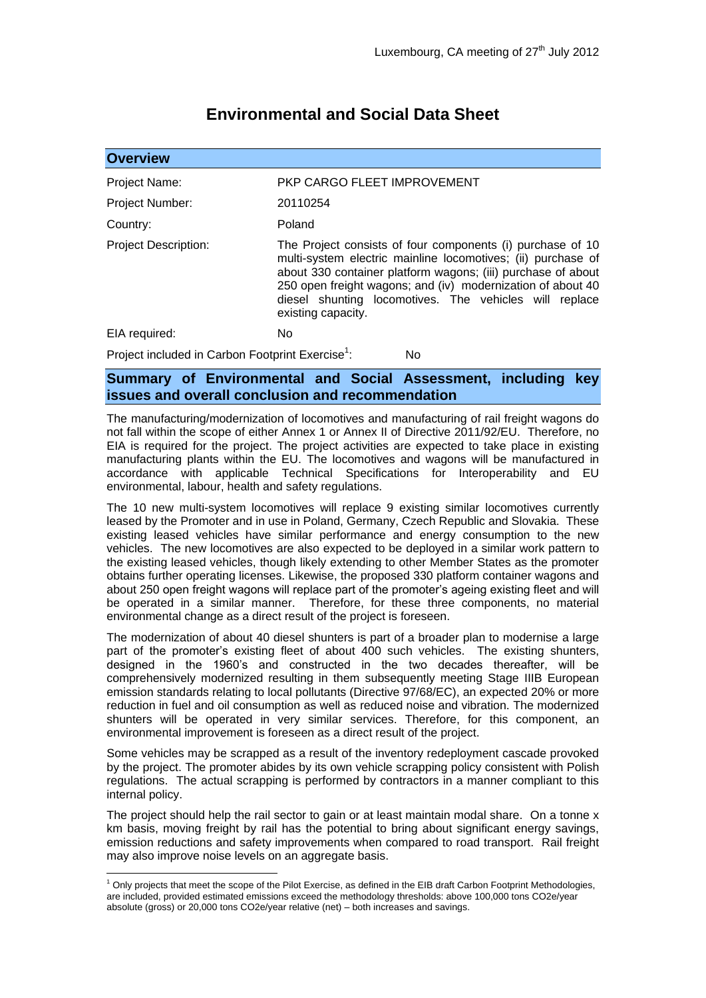## **Environmental and Social Data Sheet**

| <b>Overview</b>                                              |                                                                                                                                                                                                                                                                                                                                           |
|--------------------------------------------------------------|-------------------------------------------------------------------------------------------------------------------------------------------------------------------------------------------------------------------------------------------------------------------------------------------------------------------------------------------|
| <b>Project Name:</b>                                         | PKP CARGO FLEET IMPROVEMENT                                                                                                                                                                                                                                                                                                               |
| <b>Project Number:</b>                                       | 20110254                                                                                                                                                                                                                                                                                                                                  |
| Country:                                                     | Poland                                                                                                                                                                                                                                                                                                                                    |
| <b>Project Description:</b>                                  | The Project consists of four components (i) purchase of 10<br>multi-system electric mainline locomotives; (ii) purchase of<br>about 330 container platform wagons; (iii) purchase of about<br>250 open freight wagons; and (iv) modernization of about 40<br>diesel shunting locomotives. The vehicles will replace<br>existing capacity. |
| EIA required:                                                | No.                                                                                                                                                                                                                                                                                                                                       |
| Project included in Carbon Footprint Exercise <sup>1</sup> : | No.                                                                                                                                                                                                                                                                                                                                       |

## **Summary of Environmental and Social Assessment, including key issues and overall conclusion and recommendation**

The manufacturing/modernization of locomotives and manufacturing of rail freight wagons do not fall within the scope of either Annex 1 or Annex II of Directive 2011/92/EU. Therefore, no EIA is required for the project. The project activities are expected to take place in existing manufacturing plants within the EU. The locomotives and wagons will be manufactured in accordance with applicable Technical Specifications for Interoperability and EU environmental, labour, health and safety regulations.

The 10 new multi-system locomotives will replace 9 existing similar locomotives currently leased by the Promoter and in use in Poland, Germany, Czech Republic and Slovakia. These existing leased vehicles have similar performance and energy consumption to the new vehicles. The new locomotives are also expected to be deployed in a similar work pattern to the existing leased vehicles, though likely extending to other Member States as the promoter obtains further operating licenses. Likewise, the proposed 330 platform container wagons and about 250 open freight wagons will replace part of the promoter's ageing existing fleet and will be operated in a similar manner. Therefore, for these three components, no material environmental change as a direct result of the project is foreseen.

The modernization of about 40 diesel shunters is part of a broader plan to modernise a large part of the promoter's existing fleet of about 400 such vehicles. The existing shunters, designed in the 1960's and constructed in the two decades thereafter, will be comprehensively modernized resulting in them subsequently meeting Stage IIIB European emission standards relating to local pollutants (Directive 97/68/EC), an expected 20% or more reduction in fuel and oil consumption as well as reduced noise and vibration. The modernized shunters will be operated in very similar services. Therefore, for this component, an environmental improvement is foreseen as a direct result of the project.

Some vehicles may be scrapped as a result of the inventory redeployment cascade provoked by the project. The promoter abides by its own vehicle scrapping policy consistent with Polish regulations. The actual scrapping is performed by contractors in a manner compliant to this internal policy.

The project should help the rail sector to gain or at least maintain modal share. On a tonne x km basis, moving freight by rail has the potential to bring about significant energy savings, emission reductions and safety improvements when compared to road transport. Rail freight may also improve noise levels on an aggregate basis.

1

 $1$  Only projects that meet the scope of the Pilot Exercise, as defined in the EIB draft Carbon Footprint Methodologies, are included, provided estimated emissions exceed the methodology thresholds: above 100,000 tons CO2e/year absolute (gross) or 20,000 tons CO2e/year relative (net) – both increases and savings.